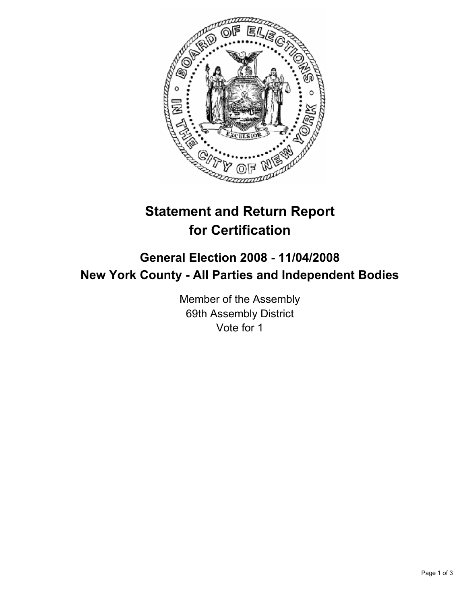

# **Statement and Return Report for Certification**

## **General Election 2008 - 11/04/2008 New York County - All Parties and Independent Bodies**

Member of the Assembly 69th Assembly District Vote for 1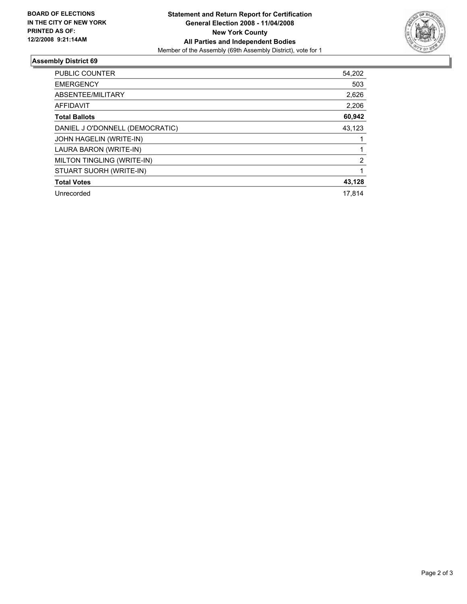

### **Assembly District 69**

| PUBLIC COUNTER                  | 54,202 |
|---------------------------------|--------|
| <b>EMERGENCY</b>                | 503    |
| ABSENTEE/MILITARY               | 2,626  |
| <b>AFFIDAVIT</b>                | 2,206  |
| <b>Total Ballots</b>            | 60,942 |
| DANIEL J O'DONNELL (DEMOCRATIC) | 43,123 |
| JOHN HAGELIN (WRITE-IN)         |        |
| LAURA BARON (WRITE-IN)          |        |
| MILTON TINGLING (WRITE-IN)      | 2      |
| STUART SUORH (WRITE-IN)         |        |
| <b>Total Votes</b>              | 43,128 |
| Unrecorded                      | 17,814 |